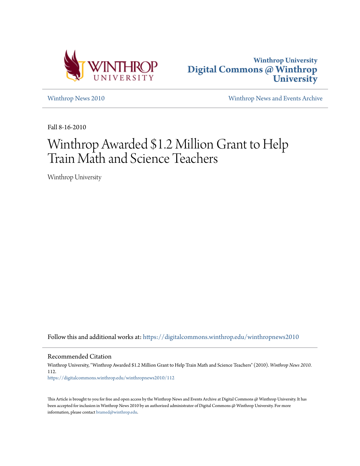



[Winthrop News 2010](https://digitalcommons.winthrop.edu/winthropnews2010?utm_source=digitalcommons.winthrop.edu%2Fwinthropnews2010%2F112&utm_medium=PDF&utm_campaign=PDFCoverPages) [Winthrop News and Events Archive](https://digitalcommons.winthrop.edu/winthropnewsarchives?utm_source=digitalcommons.winthrop.edu%2Fwinthropnews2010%2F112&utm_medium=PDF&utm_campaign=PDFCoverPages)

Fall 8-16-2010

# Winthrop Awarded \$1.2 Million Grant to Help Train Math and Science Teachers

Winthrop University

Follow this and additional works at: [https://digitalcommons.winthrop.edu/winthropnews2010](https://digitalcommons.winthrop.edu/winthropnews2010?utm_source=digitalcommons.winthrop.edu%2Fwinthropnews2010%2F112&utm_medium=PDF&utm_campaign=PDFCoverPages)

Recommended Citation

Winthrop University, "Winthrop Awarded \$1.2 Million Grant to Help Train Math and Science Teachers" (2010). *Winthrop News 2010*. 112. [https://digitalcommons.winthrop.edu/winthropnews2010/112](https://digitalcommons.winthrop.edu/winthropnews2010/112?utm_source=digitalcommons.winthrop.edu%2Fwinthropnews2010%2F112&utm_medium=PDF&utm_campaign=PDFCoverPages)

This Article is brought to you for free and open access by the Winthrop News and Events Archive at Digital Commons @ Winthrop University. It has been accepted for inclusion in Winthrop News 2010 by an authorized administrator of Digital Commons @ Winthrop University. For more information, please contact [bramed@winthrop.edu](mailto:bramed@winthrop.edu).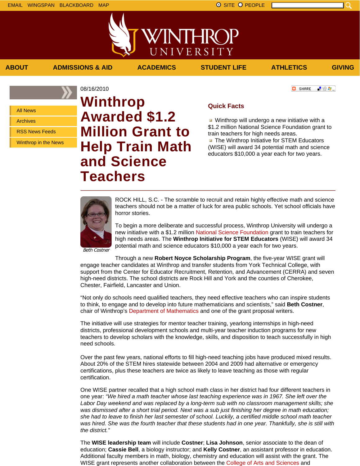- 82 年。

**O** SHARE

All News

Archives

RSS News Feeds

Winthrop in the News

## 08/16/2010 **Winthrop Awarded \$1.2 Million Grant to Help Train Math and Science Teachers**

### **Quick Facts**

**ABOUT ADMISSIONS & AID ACADEMICS STUDENT LIFE ATHLETICS GIVING**

VINTHROP

UNIVERSITY

Winthrop will undergo a new initiative with a \$1.2 million National Science Foundation grant to train teachers for high needs areas. **The Winthrop Initiative for STEM Educators** (WISE) will award 34 potential math and science educators \$10,000 a year each for two years.



ROCK HILL, S.C. - The scramble to recruit and retain highly effective math and science teachers should not be a matter of luck for area public schools. Yet school officials have horror stories.

To begin a more deliberate and successful process, Winthrop University will undergo a new initiative with a \$1.2 million National Science Foundation grant to train teachers for high needs areas. The **Winthrop Initiative for STEM Educators** (WISE) will award 34 potential math and science educators \$10,000 a year each for two years.

Beth Costner

Through a new **Robert Noyce Scholarship Program**, the five-year WISE grant will engage teacher candidates at Winthrop and transfer students from York Technical College, with support from the Center for Educator Recruitment, Retention, and Advancement (CERRA) and seven high-need districts. The school districts are Rock Hill and York and the counties of Cherokee, Chester, Fairfield, Lancaster and Union.

"Not only do schools need qualified teachers, they need effective teachers who can inspire students to think, to engage and to develop into future mathematicians and scientists," said **Beth Costner**, chair of Winthrop's Department of Mathematics and one of the grant proposal writers.

The initiative will use strategies for mentor teacher training, yearlong internships in high-need districts, professional development schools and multi-year teacher induction programs for new teachers to develop scholars with the knowledge, skills, and disposition to teach successfully in high need schools.

Over the past few years, national efforts to fill high-need teaching jobs have produced mixed results. About 20% of the STEM hires statewide between 2004 and 2009 had alternative or emergency certifications, plus these teachers are twice as likely to leave teaching as those with regular certification.

One WISE partner recalled that a high school math class in her district had four different teachers in one year: *"We hired a math teacher whose last teaching experience was in 1967. She left over the Labor Day weekend and was replaced by a long-term sub with no classroom management skills; she was dismissed after a short trial period. Next was a sub just finishing her degree in math education; she had to leave to finish her last semester of school. Luckily, a certified middle school math teacher was hired. She was the fourth teacher that these students had in one year. Thankfully, she is still with the district."*

The **WISE leadership team** will include **Costner**; **Lisa Johnson**, senior associate to the dean of education; **Cassie Bell**, a biology instructor; and **Kelly Costner**, an assistant professor in education. Additional faculty members in math, biology, chemistry and education will assist with the grant. The WISE grant represents another collaboration between the College of Arts and Sciences and